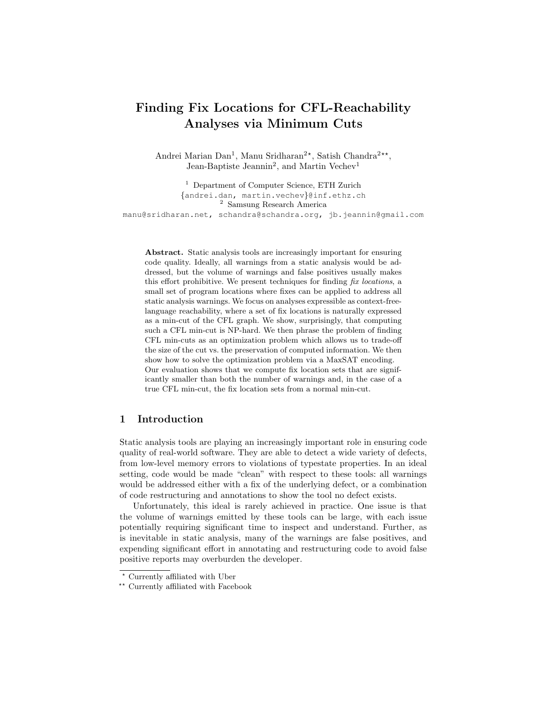# Finding Fix Locations for CFL-Reachability Analyses via Minimum Cuts

Andrei Marian Dan<sup>1</sup>, Manu Sridharan<sup>2\*</sup>, Satish Chandra<sup>2\*\*</sup>, Jean-Baptiste Jeannin<sup>2</sup>, and Martin Vechev<sup>1</sup>

<sup>1</sup> Department of Computer Science, ETH Zurich {andrei.dan, martin.vechev}@inf.ethz.ch <sup>2</sup> Samsung Research America manu@sridharan.net, schandra@schandra.org, jb.jeannin@gmail.com

Abstract. Static analysis tools are increasingly important for ensuring code quality. Ideally, all warnings from a static analysis would be addressed, but the volume of warnings and false positives usually makes this effort prohibitive. We present techniques for finding  $fix$  locations, a small set of program locations where fixes can be applied to address all static analysis warnings. We focus on analyses expressible as context-freelanguage reachability, where a set of fix locations is naturally expressed as a min-cut of the CFL graph. We show, surprisingly, that computing such a CFL min-cut is NP-hard. We then phrase the problem of finding CFL min-cuts as an optimization problem which allows us to trade-off the size of the cut vs. the preservation of computed information. We then show how to solve the optimization problem via a MaxSAT encoding. Our evaluation shows that we compute fix location sets that are significantly smaller than both the number of warnings and, in the case of a true CFL min-cut, the fix location sets from a normal min-cut.

#### <span id="page-0-0"></span>1 Introduction

Static analysis tools are playing an increasingly important role in ensuring code quality of real-world software. They are able to detect a wide variety of defects, from low-level memory errors to violations of typestate properties. In an ideal setting, code would be made "clean" with respect to these tools: all warnings would be addressed either with a fix of the underlying defect, or a combination of code restructuring and annotations to show the tool no defect exists.

Unfortunately, this ideal is rarely achieved in practice. One issue is that the volume of warnings emitted by these tools can be large, with each issue potentially requiring significant time to inspect and understand. Further, as is inevitable in static analysis, many of the warnings are false positives, and expending significant effort in annotating and restructuring code to avoid false positive reports may overburden the developer.

<sup>?</sup> Currently affiliated with Uber

<sup>\*\*</sup> Currently affiliated with Facebook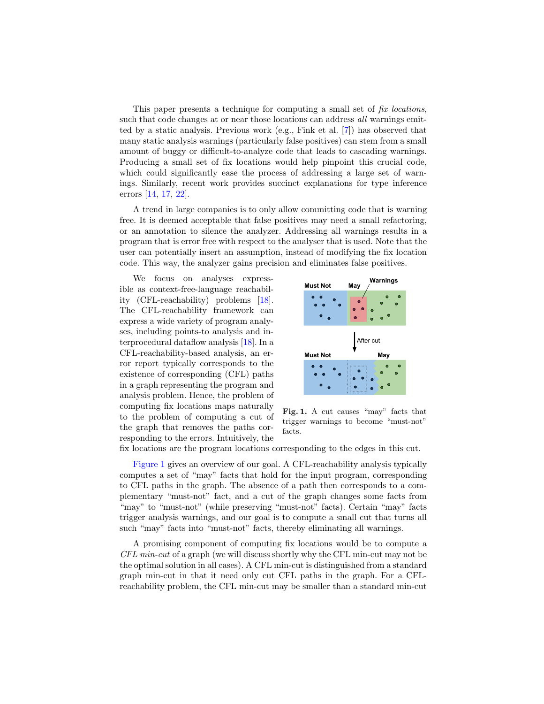This paper presents a technique for computing a small set of fix locations, such that code changes at or near those locations can address all warnings emitted by a static analysis. Previous work (e.g., Fink et al. [\[7\]](#page-19-0)) has observed that many static analysis warnings (particularly false positives) can stem from a small amount of buggy or difficult-to-analyze code that leads to cascading warnings. Producing a small set of fix locations would help pinpoint this crucial code, which could significantly ease the process of addressing a large set of warnings. Similarly, recent work provides succinct explanations for type inference errors [\[14,](#page-20-0) [17,](#page-20-1) [22\]](#page-21-0).

A trend in large companies is to only allow committing code that is warning free. It is deemed acceptable that false positives may need a small refactoring, or an annotation to silence the analyzer. Addressing all warnings results in a program that is error free with respect to the analyser that is used. Note that the user can potentially insert an assumption, instead of modifying the fix location code. This way, the analyzer gains precision and eliminates false positives.

express a wide variety of program analyin a graph representing the program and CFL-reachability-based analysis, an ercomputing fix locations maps naturally We focus on analyses expressible as context-free-language reachability (CFL-reachability) problems [\[18\]](#page-20-2). The CFL-reachability framework can ses, including points-to analysis and interprocedural dataflow analysis [\[18\]](#page-20-2). In a ror report typically corresponds to the existence of corresponding (CFL) paths analysis problem. Hence, the problem of to the problem of computing a cut of the graph that removes the paths corresponding to the errors. Intuitively, the



<span id="page-1-0"></span>Fig. 1. A cut causes "may" facts that trigger warnings to become "must-not" facts.

fix locations are the program locations corresponding to the edges in this cut.

[Figure 1](#page-1-0) gives an overview of our goal. A CFL-reachability analysis typically computes a set of "may" facts that hold for the input program, corresponding to CFL paths in the graph. The absence of a path then corresponds to a complementary "must-not" fact, and a cut of the graph changes some facts from "may" to "must-not" (while preserving "must-not" facts). Certain "may" facts trigger analysis warnings, and our goal is to compute a small cut that turns all such "may" facts into "must-not" facts, thereby eliminating all warnings.

A promising component of computing fix locations would be to compute a CFL min-cut of a graph (we will discuss shortly why the CFL min-cut may not be the optimal solution in all cases). A CFL min-cut is distinguished from a standard graph min-cut in that it need only cut CFL paths in the graph. For a CFLreachability problem, the CFL min-cut may be smaller than a standard min-cut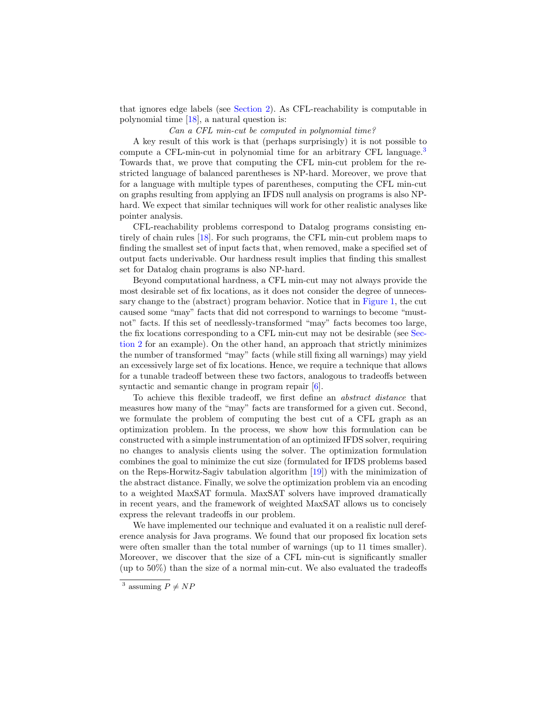that ignores edge labels (see [Section 2\)](#page-3-0). As CFL-reachability is computable in polynomial time [\[18\]](#page-20-2), a natural question is:

Can a CFL min-cut be computed in polynomial time?

A key result of this work is that (perhaps surprisingly) it is not possible to compute a CFL-min-cut in polynomial time for an arbitrary CFL language.<sup>[3](#page-2-0)</sup> Towards that, we prove that computing the CFL min-cut problem for the restricted language of balanced parentheses is NP-hard. Moreover, we prove that for a language with multiple types of parentheses, computing the CFL min-cut on graphs resulting from applying an IFDS null analysis on programs is also NPhard. We expect that similar techniques will work for other realistic analyses like pointer analysis.

CFL-reachability problems correspond to Datalog programs consisting entirely of chain rules [\[18\]](#page-20-2). For such programs, the CFL min-cut problem maps to finding the smallest set of input facts that, when removed, make a specified set of output facts underivable. Our hardness result implies that finding this smallest set for Datalog chain programs is also NP-hard.

Beyond computational hardness, a CFL min-cut may not always provide the most desirable set of fix locations, as it does not consider the degree of unnecessary change to the (abstract) program behavior. Notice that in [Figure 1,](#page-1-0) the cut caused some "may" facts that did not correspond to warnings to become "mustnot" facts. If this set of needlessly-transformed "may" facts becomes too large, the fix locations corresponding to a CFL min-cut may not be desirable (see [Sec](#page-3-0)[tion 2](#page-3-0) for an example). On the other hand, an approach that strictly minimizes the number of transformed "may" facts (while still fixing all warnings) may yield an excessively large set of fix locations. Hence, we require a technique that allows for a tunable tradeoff between these two factors, analogous to tradeoffs between syntactic and semantic change in program repair  $[6]$ .

To achieve this flexible tradeoff, we first define an abstract distance that measures how many of the "may" facts are transformed for a given cut. Second, we formulate the problem of computing the best cut of a CFL graph as an optimization problem. In the process, we show how this formulation can be constructed with a simple instrumentation of an optimized IFDS solver, requiring no changes to analysis clients using the solver. The optimization formulation combines the goal to minimize the cut size (formulated for IFDS problems based on the Reps-Horwitz-Sagiv tabulation algorithm [\[19\]](#page-20-3)) with the minimization of the abstract distance. Finally, we solve the optimization problem via an encoding to a weighted MaxSAT formula. MaxSAT solvers have improved dramatically in recent years, and the framework of weighted MaxSAT allows us to concisely express the relevant tradeoffs in our problem.

We have implemented our technique and evaluated it on a realistic null dereference analysis for Java programs. We found that our proposed fix location sets were often smaller than the total number of warnings (up to 11 times smaller). Moreover, we discover that the size of a CFL min-cut is significantly smaller (up to 50%) than the size of a normal min-cut. We also evaluated the tradeoffs

<span id="page-2-0"></span><sup>&</sup>lt;sup>3</sup> assuming  $P \neq NP$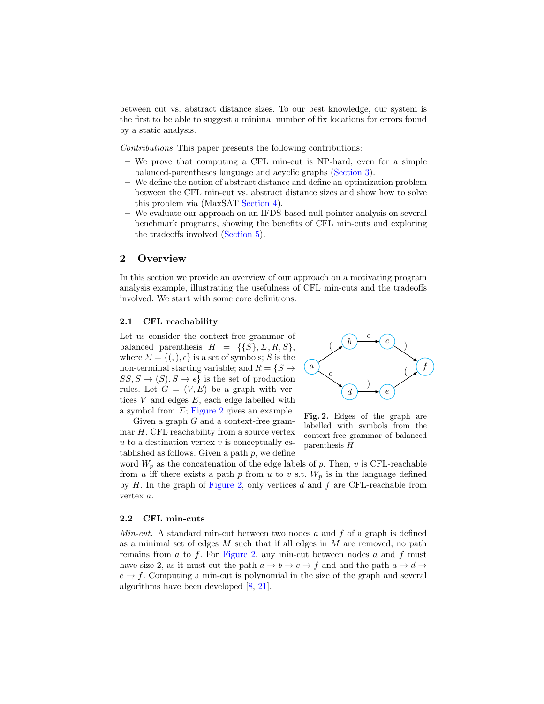between cut vs. abstract distance sizes. To our best knowledge, our system is the first to be able to suggest a minimal number of fix locations for errors found by a static analysis.

Contributions This paper presents the following contributions:

- We prove that computing a CFL min-cut is NP-hard, even for a simple balanced-parentheses language and acyclic graphs [\(Section 3\)](#page-7-0).
- We define the notion of abstract distance and define an optimization problem between the CFL min-cut vs. abstract distance sizes and show how to solve this problem via (MaxSAT [Section 4\)](#page-12-0).
- We evaluate our approach on an IFDS-based null-pointer analysis on several benchmark programs, showing the benefits of CFL min-cuts and exploring the tradeoffs involved [\(Section 5\)](#page-15-0).

### <span id="page-3-0"></span>2 Overview

In this section we provide an overview of our approach on a motivating program analysis example, illustrating the usefulness of CFL min-cuts and the tradeoffs involved. We start with some core definitions.

#### <span id="page-3-2"></span>2.1 CFL reachability

Let us consider the context-free grammar of balanced parenthesis  $H = \{ \{S\}, \Sigma, R, S \},\$ where  $\Sigma = \{(),\},\epsilon\}$  is a set of symbols; S is the non-terminal starting variable; and  $R = \{S \rightarrow$  $SS, S \rightarrow (S), S \rightarrow \epsilon$  is the set of production rules. Let  $G = (V, E)$  be a graph with vertices  $V$  and edges  $E$ , each edge labelled with a symbol from  $\Sigma$ ; [Figure 2](#page-3-1) gives an example.

Given a graph  $G$  and a context-free grammar  $H$ , CFL reachability from a source vertex u to a destination vertex  $v$  is conceptually established as follows. Given a path  $p$ , we define



<span id="page-3-1"></span>Fig. 2. Edges of the graph are labelled with symbols from the context-free grammar of balanced parenthesis H.

word  $W_p$  as the concatenation of the edge labels of p. Then, v is CFL-reachable from u iff there exists a path p from u to v s.t.  $W_p$  is in the language defined by  $H$ . In the graph of [Figure 2,](#page-3-1) only vertices  $d$  and  $f$  are CFL-reachable from vertex a.

#### 2.2 CFL min-cuts

 $Min-cut$ . A standard min-cut between two nodes a and f of a graph is defined as a minimal set of edges  $M$  such that if all edges in  $M$  are removed, no path remains from  $a$  to  $f$ . For [Figure 2,](#page-3-1) any min-cut between nodes  $a$  and  $f$  must have size 2, as it must cut the path  $a \to b \to c \to f$  and and the path  $a \to d \to$  $e \rightarrow f$ . Computing a min-cut is polynomial in the size of the graph and several algorithms have been developed [\[8,](#page-19-2) [21\]](#page-21-1).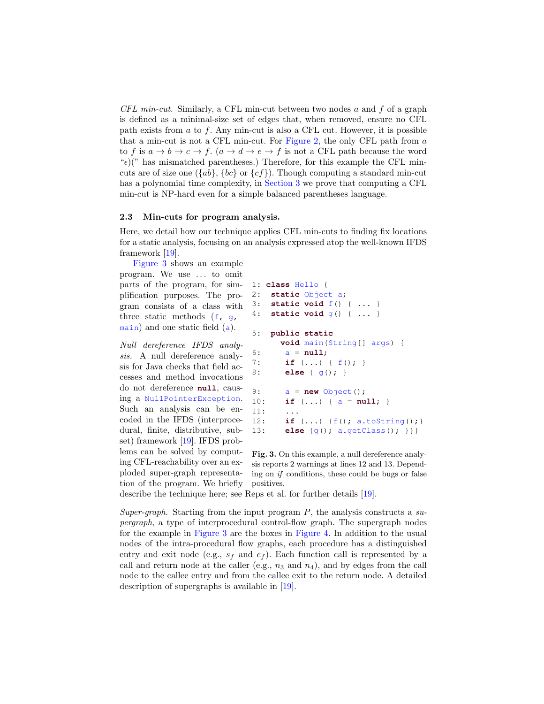CFL min-cut. Similarly, a CFL min-cut between two nodes a and f of a graph is defined as a minimal-size set of edges that, when removed, ensure no CFL path exists from a to f. Any min-cut is also a CFL cut. However, it is possible that a min-cut is not a CFL min-cut. For [Figure 2,](#page-3-1) the only CFL path from  $a$ to f is  $a \to b \to c \to f$ .  $(a \to d \to e \to f$  is not a CFL path because the word " $\epsilon$ )(" has mismatched parentheses.) Therefore, for this example the CFL mincuts are of size one  $({a}b, {bc}$  or  ${cf}$ ). Though computing a standard min-cut has a polynomial time complexity, in [Section 3](#page-7-0) we prove that computing a CFL min-cut is NP-hard even for a simple balanced parentheses language.

#### <span id="page-4-1"></span>2.3 Min-cuts for program analysis.

Here, we detail how our technique applies CFL min-cuts to finding fix locations for a static analysis, focusing on an analysis expressed atop the well-known IFDS framework [\[19\]](#page-20-3).

> 1: **class** Hello { 2: **static** Object a;

[Figure 3](#page-4-0) shows an example program. We use . . . to omit parts of the program, for simplification purposes. The program consists of a class with three static methods  $(f, q)$ main) and one static field (a).

Null dereference IFDS analysis. A null dereference analysis for Java checks that field accesses and method invocations do not dereference **null**, causing a NullPointerException. Such an analysis can be encoded in the IFDS (interprocedural, finite, distributive, subset) framework [\[19\]](#page-20-3). IFDS problems can be solved by computing CFL-reachability over an exploded super-graph representation of the program. We briefly

```
3: static void f() { ... }
4: static void g() { ... }
5: public static
     void main(String[] args) {
6: a = null;
7: if (...) { f(); }
8: else { g(); }
9: a = new Object();
10: if (...) { a = null; }
11: ...
12: if (...) {f(); a.toString();}
13: else {g(); a.getClass(); }}}
```
<span id="page-4-0"></span>Fig. 3. On this example, a null dereference analysis reports 2 warnings at lines 12 and 13. Depending on if conditions, these could be bugs or false positives.

describe the technique here; see Reps et al. for further details [\[19\]](#page-20-3).

Super-graph. Starting from the input program  $P$ , the analysis constructs a supergraph, a type of interprocedural control-flow graph. The supergraph nodes for the example in [Figure 3](#page-4-0) are the boxes in [Figure 4.](#page-5-0) In addition to the usual nodes of the intra-procedural flow graphs, each procedure has a distinguished entry and exit node (e.g.,  $s_f$  and  $e_f$ ). Each function call is represented by a call and return node at the caller (e.g.,  $n_3$  and  $n_4$ ), and by edges from the call node to the callee entry and from the callee exit to the return node. A detailed description of supergraphs is available in [\[19\]](#page-20-3).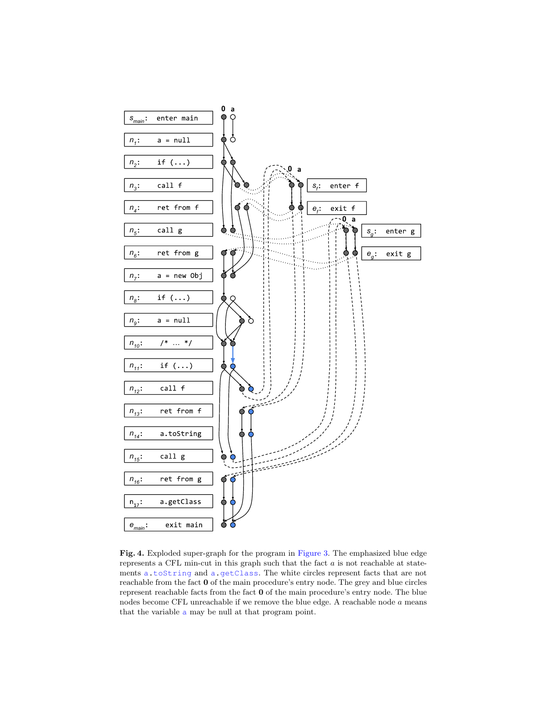

<span id="page-5-0"></span>Fig. 4. Exploded super-graph for the program in [Figure 3.](#page-4-0) The emphasized blue edge represents a CFL min-cut in this graph such that the fact  $a$  is not reachable at statements a.toString and a.getClass. The white circles represent facts that are not reachable from the fact 0 of the main procedure's entry node. The grey and blue circles represent reachable facts from the fact 0 of the main procedure's entry node. The blue nodes become CFL unreachable if we remove the blue edge. A reachable node  $a$  means that the variable a may be null at that program point.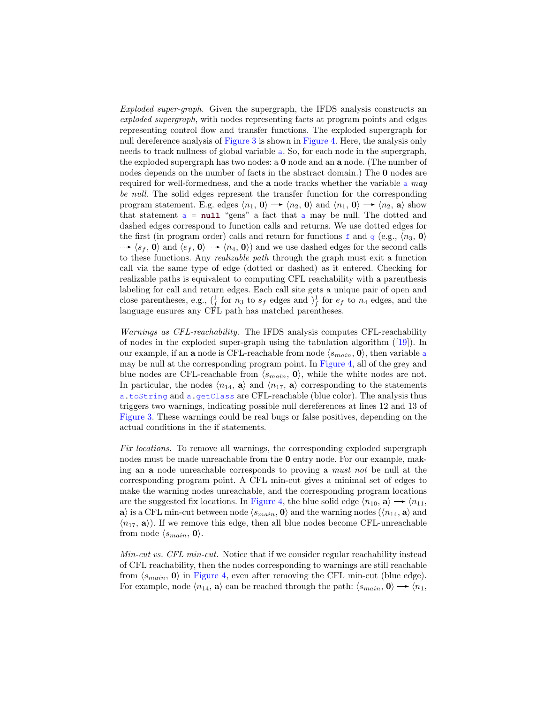Exploded super-graph. Given the supergraph, the IFDS analysis constructs an exploded supergraph, with nodes representing facts at program points and edges representing control flow and transfer functions. The exploded supergraph for null dereference analysis of [Figure 3](#page-4-0) is shown in [Figure 4.](#page-5-0) Here, the analysis only needs to track nullness of global variable a. So, for each node in the supergraph, the exploded supergraph has two nodes: a 0 node and an a node. (The number of nodes depends on the number of facts in the abstract domain.) The 0 nodes are required for well-formedness, and the  $a$  node tracks whether the variable  $a$  may be null. The solid edges represent the transfer function for the corresponding program statement. E.g. edges  $\langle n_1, 0 \rangle \rightarrow \langle n_2, 0 \rangle$  and  $\langle n_1, 0 \rangle \rightarrow \langle n_2, a \rangle$  show that statement a = **null** "gens" a fact that a may be null. The dotted and dashed edges correspond to function calls and returns. We use dotted edges for the first (in program order) calls and return for functions f and g (e.g.,  $\langle n_3, 0 \rangle$  $\rightarrow$   $\langle s_f, 0 \rangle$  and  $\langle e_f, 0 \rangle$   $\rightarrow$   $\langle n_4, 0 \rangle$  and we use dashed edges for the second calls to these functions. Any realizable path through the graph must exit a function call via the same type of edge (dotted or dashed) as it entered. Checking for realizable paths is equivalent to computing CFL reachability with a parenthesis labeling for call and return edges. Each call site gets a unique pair of open and close parentheses, e.g.,  $(\frac{1}{f}$  for  $n_3$  to  $s_f$  edges and  $)$ <sup>1</sup> for  $e_f$  to  $n_4$  edges, and the language ensures any CFL path has matched parentheses.

Warnings as CFL-reachability. The IFDS analysis computes CFL-reachability of nodes in the exploded super-graph using the tabulation algorithm ([\[19\]](#page-20-3)). In our example, if an a node is CFL-reachable from node  $\langle s_{main}, 0 \rangle$ , then variable a may be null at the corresponding program point. In [Figure 4,](#page-5-0) all of the grey and blue nodes are CFL-reachable from  $\langle s_{main}, 0 \rangle$ , while the white nodes are not. In particular, the nodes  $\langle n_{14}, \mathbf{a} \rangle$  and  $\langle n_{17}, \mathbf{a} \rangle$  corresponding to the statements a.toString and a.getClass are CFL-reachable (blue color). The analysis thus triggers two warnings, indicating possible null dereferences at lines 12 and 13 of [Figure 3.](#page-4-0) These warnings could be real bugs or false positives, depending on the actual conditions in the if statements.

Fix locations. To remove all warnings, the corresponding exploded supergraph nodes must be made unreachable from the 0 entry node. For our example, making an a node unreachable corresponds to proving a must not be null at the corresponding program point. A CFL min-cut gives a minimal set of edges to make the warning nodes unreachable, and the corresponding program locations are the suggested fix locations. In [Figure 4,](#page-5-0) the blue solid edge  $\langle n_{10}, \mathbf{a} \rangle \rightarrow \langle n_{11},$ a) is a CFL min-cut between node  $\langle s_{main}, 0 \rangle$  and the warning nodes  $(\langle n_{14}, a \rangle)$  and  $\langle n_{17}, \mathbf{a} \rangle$ ). If we remove this edge, then all blue nodes become CFL-unreachable from node  $\langle s_{main}, \mathbf{0} \rangle$ .

Min-cut vs. CFL min-cut. Notice that if we consider regular reachability instead of CFL reachability, then the nodes corresponding to warnings are still reachable from  $\langle s_{main}, 0 \rangle$  in [Figure 4,](#page-5-0) even after removing the CFL min-cut (blue edge). For example, node  $\langle n_{14}, \mathbf{a} \rangle$  can be reached through the path:  $\langle s_{main}, \mathbf{0} \rangle \rightarrow \langle n_1,$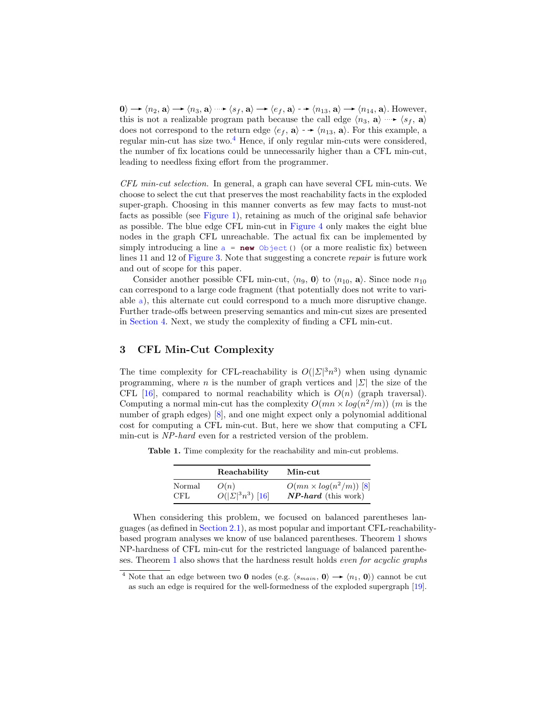$\langle 0 \rangle \rightarrow \langle n_2, \mathbf{a} \rangle \rightarrow \langle n_3, \mathbf{a} \rangle \rightarrow \langle s_f, \mathbf{a} \rangle \rightarrow \langle e_f, \mathbf{a} \rangle \rightarrow \langle n_{13}, \mathbf{a} \rangle \rightarrow \langle n_{14}, \mathbf{a} \rangle.$  However, this is not a realizable program path because the call edge  $\langle n_3, \mathbf{a} \rangle \rightarrow \langle s_f, \mathbf{a} \rangle$ does not correspond to the return edge  $\langle e_f, \mathbf{a} \rangle \rightarrow \langle n_{13}, \mathbf{a} \rangle$ . For this example, a regular min-cut has size two.<sup>[4](#page-7-1)</sup> Hence, if only regular min-cuts were considered, the number of fix locations could be unnecessarily higher than a CFL min-cut, leading to needless fixing effort from the programmer.

CFL min-cut selection. In general, a graph can have several CFL min-cuts. We choose to select the cut that preserves the most reachability facts in the exploded super-graph. Choosing in this manner converts as few may facts to must-not facts as possible (see [Figure 1\)](#page-1-0), retaining as much of the original safe behavior as possible. The blue edge CFL min-cut in [Figure 4](#page-5-0) only makes the eight blue nodes in the graph CFL unreachable. The actual fix can be implemented by simply introducing a line  $a = new$  Object() (or a more realistic fix) between lines 11 and 12 of [Figure 3.](#page-4-0) Note that suggesting a concrete repair is future work and out of scope for this paper.

Consider another possible CFL min-cut,  $\langle n_9, 0 \rangle$  to  $\langle n_{10}, \mathbf{a} \rangle$ . Since node  $n_{10}$ can correspond to a large code fragment (that potentially does not write to variable a), this alternate cut could correspond to a much more disruptive change. Further trade-offs between preserving semantics and min-cut sizes are presented in [Section 4.](#page-12-0) Next, we study the complexity of finding a CFL min-cut.

### <span id="page-7-0"></span>3 CFL Min-Cut Complexity

The time complexity for CFL-reachability is  $O(|\Sigma|^3 n^3)$  when using dynamic programming, where n is the number of graph vertices and  $|\Sigma|$  the size of the CFL [\[16\]](#page-20-4), compared to normal reachability which is  $O(n)$  (graph traversal). Computing a normal min-cut has the complexity  $O(mn \times log(n^2/m))$  (*m* is the number of graph edges) [\[8\]](#page-19-2), and one might expect only a polynomial additional cost for computing a CFL min-cut. But, here we show that computing a CFL min-cut is NP-hard even for a restricted version of the problem.

Table 1. Time complexity for the reachability and min-cut problems.

|        | Reachability             | Min-cut                       |
|--------|--------------------------|-------------------------------|
| Normal | O(n)                     | $O(mn \times log(n^2/m))$ [8] |
| CFL    | $O( \Sigma ^3 n^3)$ [16] | $NP$ -hard (this work)        |

When considering this problem, we focused on balanced parentheses languages (as defined in [Section 2.1\)](#page-3-2), as most popular and important CFL-reachabilitybased program analyses we know of use balanced parentheses. Theorem [1](#page-8-0) shows NP-hardness of CFL min-cut for the restricted language of balanced parentheses. Theorem [1](#page-8-0) also shows that the hardness result holds even for acyclic graphs

<span id="page-7-1"></span><sup>&</sup>lt;sup>4</sup> Note that an edge between two **0** nodes (e.g.  $\langle s_{main}, \mathbf{0} \rangle \rightarrow \langle n_1, \mathbf{0} \rangle$ ) cannot be cut as such an edge is required for the well-formedness of the exploded supergraph [\[19\]](#page-20-3).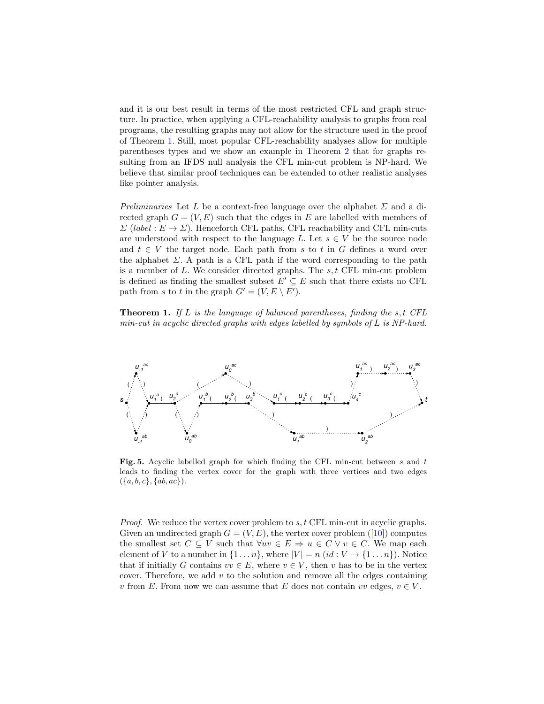and it is our best result in terms of the most restricted CFL and graph structure. In practice, when applying a CFL-reachability analysis to graphs from real programs, the resulting graphs may not allow for the structure used in the proof of Theorem [1.](#page-8-0) Still, most popular CFL-reachability analyses allow for multiple parentheses types and we show an example in Theorem [2](#page-10-0) that for graphs resulting from an IFDS null analysis the CFL min-cut problem is NP-hard. We believe that similar proof techniques can be extended to other realistic analyses like pointer analysis.

Preliminaries Let L be a context-free language over the alphabet  $\Sigma$  and a directed graph  $G = (V, E)$  such that the edges in E are labelled with members of  $\Sigma$  (label :  $E \to \Sigma$ ). Henceforth CFL paths, CFL reachability and CFL min-cuts are understood with respect to the language L. Let  $s \in V$  be the source node and  $t \in V$  the target node. Each path from s to t in G defines a word over the alphabet  $\Sigma$ . A path is a CFL path if the word corresponding to the path is a member of  $L$ . We consider directed graphs. The  $s, t$  CFL min-cut problem is defined as finding the smallest subset  $E' \subseteq E$  such that there exists no CFL path from s to t in the graph  $G' = (V, E \setminus E')$ .

<span id="page-8-0"></span>**Theorem 1.** If  $L$  is the language of balanced parentheses, finding the s,t CFL min-cut in acyclic directed graphs with edges labelled by symbols of L is NP-hard.



<span id="page-8-1"></span>**Fig. 5.** Acyclic labelled graph for which finding the CFL min-cut between s and t leads to finding the vertex cover for the graph with three vertices and two edges  $({a, b, c}, {ab, ac}).$ 

*Proof.* We reduce the vertex cover problem to  $s, t$  CFL min-cut in acyclic graphs. Given an undirected graph  $G = (V, E)$ , the vertex cover problem ([\[10\]](#page-20-5)) computes the smallest set  $C \subseteq V$  such that  $\forall uv \in E \Rightarrow u \in C \vee v \in C$ . We map each element of V to a number in  $\{1 \dots n\}$ , where  $|V| = n$   $(id : V \rightarrow \{1 \dots n\})$ . Notice that if initially G contains  $vv \in E$ , where  $v \in V$ , then v has to be in the vertex cover. Therefore, we add  $v$  to the solution and remove all the edges containing v from E. From now we can assume that E does not contain vv edges,  $v \in V$ .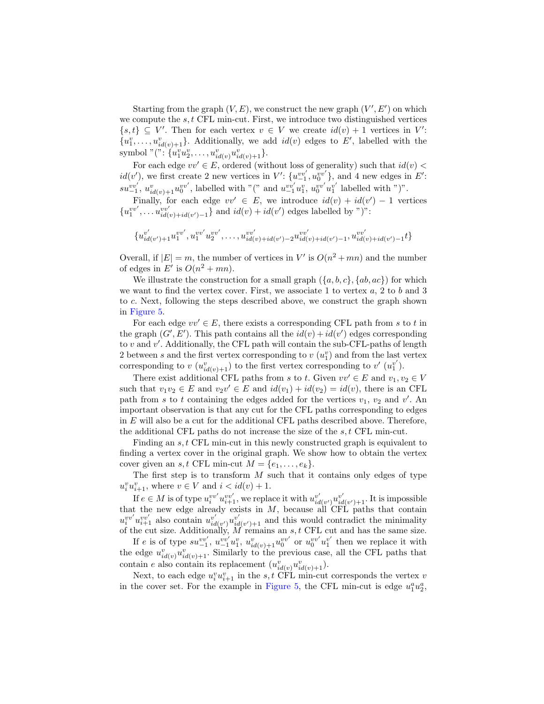Starting from the graph  $(V, E)$ , we construct the new graph  $(V', E')$  on which we compute the  $s, t$  CFL min-cut. First, we introduce two distinguished vertices  $\{s,t\} \subseteq V'$ . Then for each vertex  $v \in V$  we create  $id(v) + 1$  vertices in V':  $\{u_1^v, \ldots, u_{id(v)+1}^v\}$ . Additionally, we add  $id(v)$  edges to E', labelled with the symbol " $(":\{u_1^v u_2^v, \ldots, u_{id(v)}^v u_{id(v)+1}^v\}.$ 

For each edge  $vv' \in E$ , ordered (without loss of generality) such that  $id(v)$  <  $id(v')$ , we first create 2 new vertices in  $V'$ :  $\{u_{-1}^{vv'}, u_0^{vv'}\}$ , and 4 new edges in E':  $su_{-1}^{vv'}$ ,  $u_{id(v)+1}^{v}u_0^{vv'}$ , labelled with "(" and  $u_{-1}^{vv'}u_1^{v}$ ,  $u_0^{vv'}u_1^{v'}$  labelled with ")".

Finally, for each edge  $vv' \in E$ , we introduce  $id(v) + id(v') - 1$  vertices  ${u_1^{vv'} , \ldots u_{id(v)+id(v')-1}^{vv'} }$  and  $id(v) + id(v')$  edges labelled by ")":

$$
\{u_{id(v')+1}^{v'}u_1^{vv'},u_1^{vv'}u_2^{vv'},\ldots,u_{id(v)+id(v')-2}^{vv'}u_{id(v)+id(v')-1}^{vv'},u_{id(v)+id(v')-1}^{vv'}t\}
$$

Overall, if  $|E| = m$ , the number of vertices in V' is  $O(n^2 + mn)$  and the number of edges in E' is  $O(n^2 + mn)$ .

We illustrate the construction for a small graph  $({a, b, c}, {ab, ac})$  for which we want to find the vertex cover. First, we associate 1 to vertex  $a, 2$  to  $b$  and 3 to c. Next, following the steps described above, we construct the graph shown in [Figure 5.](#page-8-1)

For each edge  $vv' \in E$ , there exists a corresponding CFL path from s to t in the graph  $(G', E')$ . This path contains all the  $id(v) + id(v')$  edges corresponding to  $v$  and  $v'$ . Additionally, the CFL path will contain the sub-CFL-paths of length 2 between s and the first vertex corresponding to  $v(u_1^v)$  and from the last vertex corresponding to v  $(u_{id(v)+1}^v)$  to the first vertex corresponding to v'  $(u_1^{v})$ .

There exist additional CFL paths from s to t. Given  $vv' \in E$  and  $v_1, v_2 \in V$ such that  $v_1v_2 \in E$  and  $v_2v' \in E$  and  $id(v_1) + id(v_2) = id(v)$ , there is an CFL path from s to t containing the edges added for the vertices  $v_1, v_2$  and  $v'$ . An important observation is that any cut for the CFL paths corresponding to edges in  $E$  will also be a cut for the additional CFL paths described above. Therefore, the additional CFL paths do not increase the size of the s, t CFL min-cut.

Finding an s, t CFL min-cut in this newly constructed graph is equivalent to finding a vertex cover in the original graph. We show how to obtain the vertex cover given an s, t CFL min-cut  $M = \{e_1, \ldots, e_k\}.$ 

The first step is to transform  $M$  such that it contains only edges of type  $u_i^v u_{i+1}^v$ , where  $v \in V$  and  $i < id(v) + 1$ .

If  $e \in M$  is of type  $u_i^{vv'} u_{i+1}^{vv'}$ , we replace it with  $u_{id}^{v'}$  $\frac{v'}{id(v')}u^{v'}_{id}$  $\frac{v'}{id(v')+1}$ . It is impossible that the new edge already exists in  $M$ , because all CFL paths that contain  $u_i^{vv'}u_{i+1}^{vv'}$  also contain  $u_{id}^{v'}$  $\frac{v'}{id(v')} u^{v'}_{id}$  $\frac{v'}{id(v')+1}$  and this would contradict the minimality of the cut size. Additionally,  $M$  remains an  $s, t$  CFL cut and has the same size.

If e is of type  $su_{-1}^{vv'}$ ,  $u_{-1}^{vv'}u_1^v$ ,  $u_{id(v)+1}^v u_0^{vv'}$  or  $u_0^{vv'}u_1^{v'}$  then we replace it with the edge  $u_{id(v)}^v u_{id(v)+1}^v$ . Similarly to the previous case, all the CFL paths that contain e also contain its replacement  $(u_{id(v)}^v u_{id(v)+1}^v)$ .

Next, to each edge  $u_i^v u_{i+1}^v$  in the s, t CFL min-cut corresponds the vertex v in the cover set. For the example in [Figure 5,](#page-8-1) the CFL min-cut is edge  $u_1^a u_2^a$ ,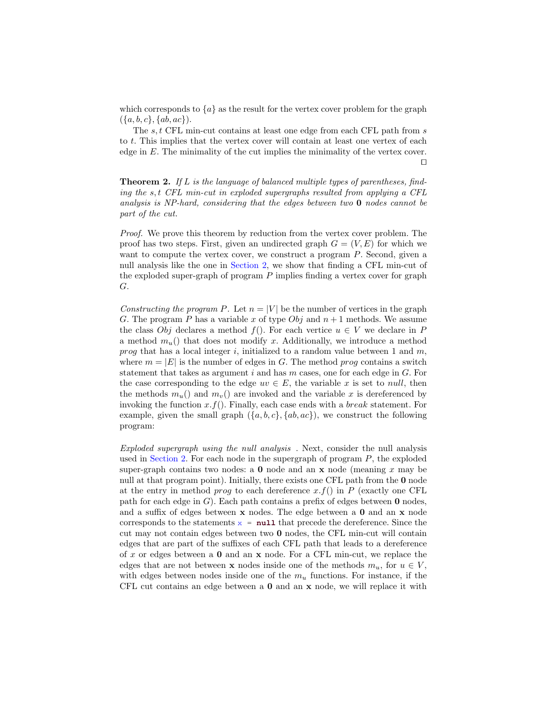which corresponds to  $\{a\}$  as the result for the vertex cover problem for the graph  $({a, b, c}, {ab, ac}).$ 

The s, t CFL min-cut contains at least one edge from each CFL path from s to t. This implies that the vertex cover will contain at least one vertex of each edge in E. The minimality of the cut implies the minimality of the vertex cover.  $\Box$ 

<span id="page-10-0"></span>Theorem 2. If L is the language of balanced multiple types of parentheses, finding the s, t CFL min-cut in exploded supergraphs resulted from applying a CFL analysis is NP-hard, considering that the edges between two  $\bf{0}$  nodes cannot be part of the cut.

Proof. We prove this theorem by reduction from the vertex cover problem. The proof has two steps. First, given an undirected graph  $G = (V, E)$  for which we want to compute the vertex cover, we construct a program P. Second, given a null analysis like the one in [Section 2,](#page-3-0) we show that finding a CFL min-cut of the exploded super-graph of program  $P$  implies finding a vertex cover for graph G.

Constructing the program P. Let  $n = |V|$  be the number of vertices in the graph G. The program P has a variable x of type  $Obj$  and  $n+1$  methods. We assume the class  $Obj$  declares a method  $f()$ . For each vertice  $u \in V$  we declare in P a method  $m_u$ () that does not modify x. Additionally, we introduce a method *prog* that has a local integer i, initialized to a random value between 1 and  $m$ , where  $m = |E|$  is the number of edges in G. The method prog contains a switch statement that takes as argument i and has  $m$  cases, one for each edge in  $G$ . For the case corresponding to the edge  $uv \in E$ , the variable x is set to null, then the methods  $m_u$ () and  $m_v$ () are invoked and the variable x is dereferenced by invoking the function  $x.f()$ . Finally, each case ends with a *break* statement. For example, given the small graph  $({a, b, c}, {ab, ac})$ , we construct the following program:

Exploded supergraph using the null analysis . Next, consider the null analysis used in [Section 2.](#page-3-0) For each node in the supergraph of program  $P$ , the exploded super-graph contains two nodes: a **0** node and an **x** node (meaning x may be null at that program point). Initially, there exists one CFL path from the **0** node at the entry in method *prog* to each dereference  $x.f()$  in P (exactly one CFL path for each edge in  $G$ ). Each path contains a prefix of edges between 0 nodes, and a suffix of edges between  $x$  nodes. The edge between a  $0$  and an  $x$  node corresponds to the statements  $x = \text{null}$  that precede the dereference. Since the cut may not contain edges between two 0 nodes, the CFL min-cut will contain edges that are part of the suffixes of each CFL path that leads to a dereference of x or edges between a  $\bf{0}$  and an  $\bf{x}$  node. For a CFL min-cut, we replace the edges that are not between **x** nodes inside one of the methods  $m_u$ , for  $u \in V$ , with edges between nodes inside one of the  $m_u$  functions. For instance, if the CFL cut contains an edge between a 0 and an x node, we will replace it with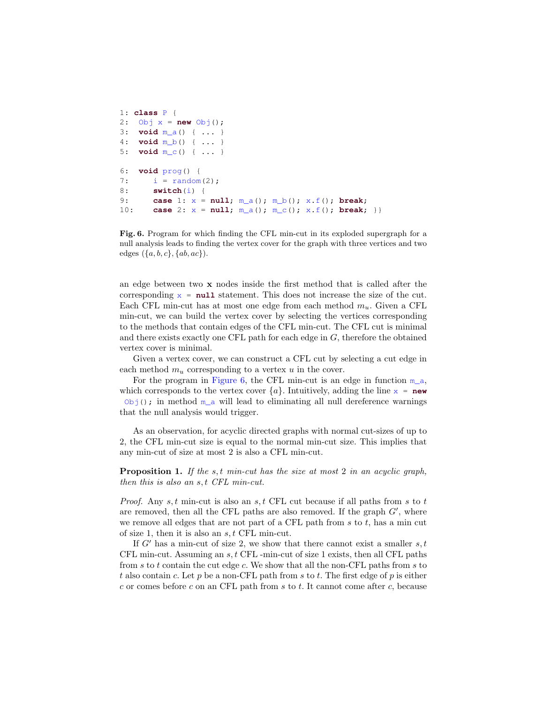```
1: class P {
2: Obj x = new Obj();3: void m_a() { ... }
4: void m_b() { ... }
5: void m_c() { ... }
6: void prog() {
7: i = \text{random}(2);
8: switch(i) {
9: case 1: x = null; m_a(); m_b(); x.f(); break;
10: case 2: x = null; m_a(); m_c(); x.f(); break; }}
```
<span id="page-11-0"></span>Fig. 6. Program for which finding the CFL min-cut in its exploded supergraph for a null analysis leads to finding the vertex cover for the graph with three vertices and two edges  $({a, b, c}, {ab, ac})$ .

an edge between two x nodes inside the first method that is called after the corresponding  $x = \text{null}$  statement. This does not increase the size of the cut. Each CFL min-cut has at most one edge from each method  $m_u$ . Given a CFL min-cut, we can build the vertex cover by selecting the vertices corresponding to the methods that contain edges of the CFL min-cut. The CFL cut is minimal and there exists exactly one CFL path for each edge in G, therefore the obtained vertex cover is minimal.

Given a vertex cover, we can construct a CFL cut by selecting a cut edge in each method  $m_u$  corresponding to a vertex u in the cover.

For the program in [Figure 6,](#page-11-0) the CFL min-cut is an edge in function  $m_a$ , which corresponds to the vertex cover  $\{a\}$ . Intuitively, adding the line  $x = new$  $Obj()$ ; in method m\_a will lead to eliminating all null dereference warnings that the null analysis would trigger.

As an observation, for acyclic directed graphs with normal cut-sizes of up to 2, the CFL min-cut size is equal to the normal min-cut size. This implies that any min-cut of size at most 2 is also a CFL min-cut.

**Proposition 1.** If the s,t min-cut has the size at most 2 in an acyclic graph, then this is also an s, t CFL min-cut.

*Proof.* Any s, t min-cut is also an s, t CFL cut because if all paths from s to t are removed, then all the CFL paths are also removed. If the graph  $G'$ , where we remove all edges that are not part of a CFL path from  $s$  to  $t$ , has a min cut of size 1, then it is also an s, t CFL min-cut.

If  $G'$  has a min-cut of size 2, we show that there cannot exist a smaller s, t CFL min-cut. Assuming an  $s, t$  CFL -min-cut of size 1 exists, then all CFL paths from s to t contain the cut edge c. We show that all the non-CFL paths from s to t also contain c. Let p be a non-CFL path from s to t. The first edge of p is either  $c$  or comes before c on an CFL path from s to t. It cannot come after c, because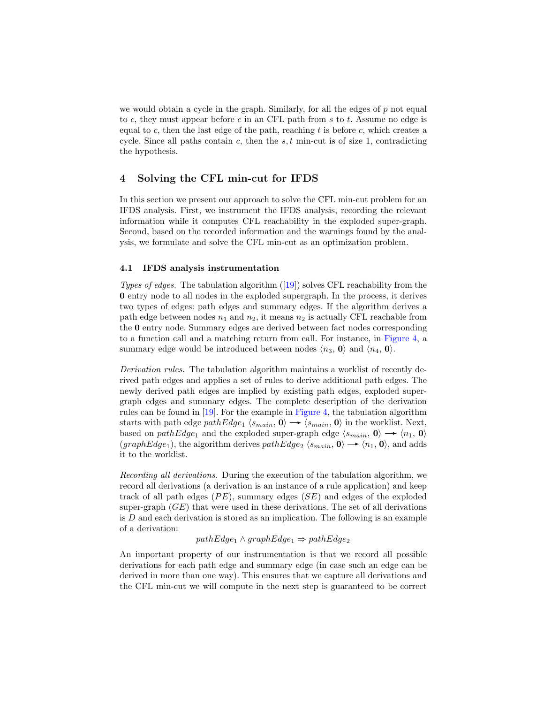we would obtain a cycle in the graph. Similarly, for all the edges of  $p$  not equal to c, they must appear before c in an CFL path from s to t. Assume no edge is equal to c, then the last edge of the path, reaching  $t$  is before c, which creates a cycle. Since all paths contain  $c$ , then the  $s$ ,  $t$  min-cut is of size 1, contradicting the hypothesis.

#### <span id="page-12-0"></span>4 Solving the CFL min-cut for IFDS

In this section we present our approach to solve the CFL min-cut problem for an IFDS analysis. First, we instrument the IFDS analysis, recording the relevant information while it computes CFL reachability in the exploded super-graph. Second, based on the recorded information and the warnings found by the analysis, we formulate and solve the CFL min-cut as an optimization problem.

#### 4.1 IFDS analysis instrumentation

Types of edges. The tabulation algorithm  $([19])$  $([19])$  $([19])$  solves CFL reachability from the 0 entry node to all nodes in the exploded supergraph. In the process, it derives two types of edges: path edges and summary edges. If the algorithm derives a path edge between nodes  $n_1$  and  $n_2$ , it means  $n_2$  is actually CFL reachable from the 0 entry node. Summary edges are derived between fact nodes corresponding to a function call and a matching return from call. For instance, in [Figure 4,](#page-5-0) a summary edge would be introduced between nodes  $\langle n_3, 0 \rangle$  and  $\langle n_4, 0 \rangle$ .

Derivation rules. The tabulation algorithm maintains a worklist of recently derived path edges and applies a set of rules to derive additional path edges. The newly derived path edges are implied by existing path edges, exploded supergraph edges and summary edges. The complete description of the derivation rules can be found in [\[19\]](#page-20-3). For the example in [Figure 4,](#page-5-0) the tabulation algorithm starts with path edge path Edge<sub>1</sub>  $\langle s_{main}, 0 \rangle \rightarrow \langle s_{main}, 0 \rangle$  in the worklist. Next, based on pathEdge<sub>1</sub> and the exploded super-graph edge  $\langle s_{main}, 0 \rangle \rightarrow \langle n_1, 0 \rangle$ (graphEdge<sub>1</sub>), the algorithm derives pathEdge<sub>2</sub>  $\langle s_{main}, \mathbf{0} \rangle \rightarrow \langle n_1, \mathbf{0} \rangle$ , and adds it to the worklist.

Recording all derivations. During the execution of the tabulation algorithm, we record all derivations (a derivation is an instance of a rule application) and keep track of all path edges  $(PE)$ , summary edges  $(SE)$  and edges of the exploded super-graph  $(GE)$  that were used in these derivations. The set of all derivations is  $D$  and each derivation is stored as an implication. The following is an example of a derivation:

### $pathEdge_1 \wedge graphEdge_1 \Rightarrow pathEdge_2$

An important property of our instrumentation is that we record all possible derivations for each path edge and summary edge (in case such an edge can be derived in more than one way). This ensures that we capture all derivations and the CFL min-cut we will compute in the next step is guaranteed to be correct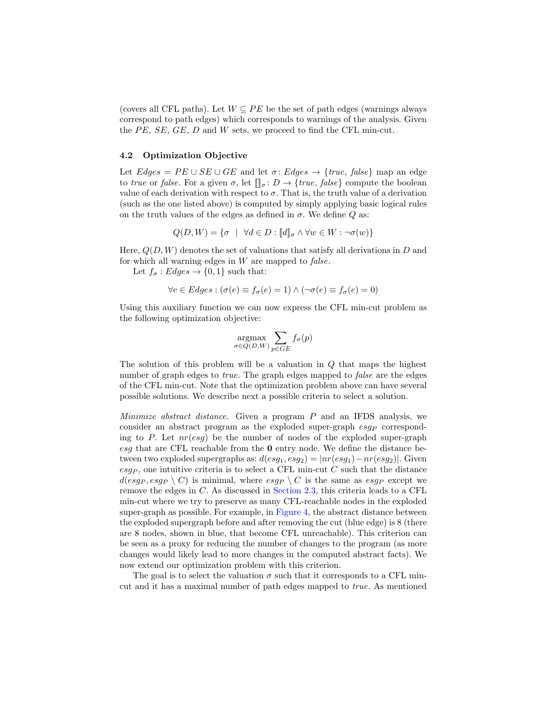(covers all CFL paths). Let  $W \subseteq PE$  be the set of path edges (warnings always correspond to path edges) which corresponds to warnings of the analysis. Given the  $PE, SE, GE, D$  and W sets, we proceed to find the CFL min-cut.

#### <span id="page-13-0"></span>4.2 Optimization Objective

Let  $Edges = PE \cup SE \cup GE$  and let  $\sigma$ :  $Edges \rightarrow \{true, false\}$  map an edge to true or false. For a given  $\sigma$ , let  $\mathbb{I}_{\sigma}: D \to \{true, false\}$  compute the boolean value of each derivation with respect to  $\sigma$ . That is, the truth value of a derivation (such as the one listed above) is computed by simply applying basic logical rules on the truth values of the edges as defined in  $\sigma$ . We define  $Q$  as:

$$
Q(D, W) = \{ \sigma \mid \forall d \in D : [d]_{\sigma} \land \forall w \in W : \neg \sigma(w) \}
$$

Here,  $Q(D, W)$  denotes the set of valuations that satisfy all derivations in D and for which all warning edges in  $W$  are mapped to *false*.

Let  $f_{\sigma}$ : Edges  $\rightarrow$  {0, 1} such that:

$$
\forall e \in Edges : (\sigma(e) \equiv f_{\sigma}(e) = 1) \land (\neg \sigma(e) \equiv f_{\sigma}(e) = 0)
$$

Using this auxiliary function we can now express the CFL min-cut problem as the following optimization objective:

$$
\underset{\sigma \in Q(D,W)}{\operatorname{argmax}} \sum_{p \in GE} f_{\sigma}(p)
$$

The solution of this problem will be a valuation in  $Q$  that maps the highest number of graph edges to *true*. The graph edges mapped to *false* are the edges of the CFL min-cut. Note that the optimization problem above can have several possible solutions. We describe next a possible criteria to select a solution.

Minimize abstract distance. Given a program P and an IFDS analysis, we consider an abstract program as the exploded super-graph  $esq_P$  corresponding to P. Let  $nr(esg)$  be the number of nodes of the exploded super-graph esg that are CFL reachable from the 0 entry node. We define the distance between two exploded supergraphs as:  $d(es_{1}, es_{2}) = |nr(es_{1}) - nr(es_{2})|$ . Given  $esg_P$ , one intuitive criteria is to select a CFL min-cut  $C$  such that the distance  $d(esgp, esgp \setminus C)$  is minimal, where  $esgp \setminus C$  is the same as esg<sub>P</sub> except we remove the edges in C. As discussed in [Section 2.3,](#page-4-1) this criteria leads to a CFL min-cut where we try to preserve as many CFL-reachable nodes in the exploded super-graph as possible. For example, in [Figure 4,](#page-5-0) the abstract distance between the exploded supergraph before and after removing the cut (blue edge) is 8 (there are 8 nodes, shown in blue, that become CFL unreachable). This criterion can be seen as a proxy for reducing the number of changes to the program (as more changes would likely lead to more changes in the computed abstract facts). We now extend our optimization problem with this criterion.

The goal is to select the valuation  $\sigma$  such that it corresponds to a CFL mincut and it has a maximal number of path edges mapped to true. As mentioned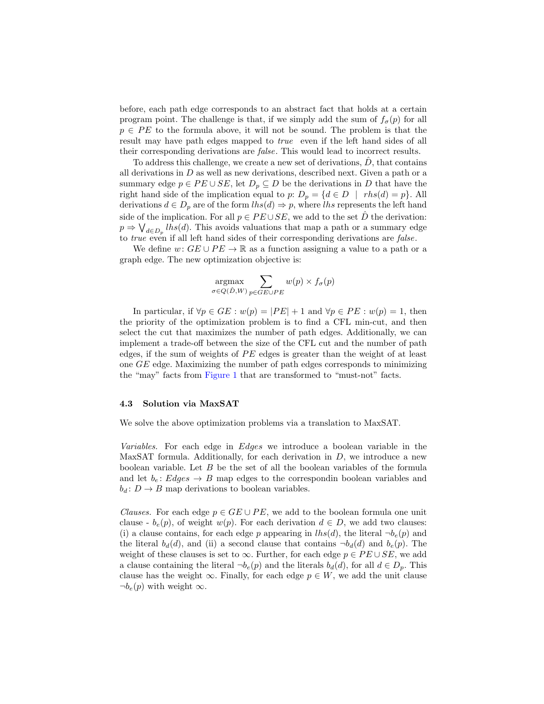before, each path edge corresponds to an abstract fact that holds at a certain program point. The challenge is that, if we simply add the sum of  $f_{\sigma}(p)$  for all  $p \in PE$  to the formula above, it will not be sound. The problem is that the result may have path edges mapped to *true* even if the left hand sides of all their corresponding derivations are false. This would lead to incorrect results.

To address this challenge, we create a new set of derivations,  $D$ , that contains all derivations in D as well as new derivations, described next. Given a path or a summary edge  $p \in PE \cup SE$ , let  $D_p \subseteq D$  be the derivations in D that have the right hand side of the implication equal to p:  $D_p = \{d \in D \mid rhs(d) = p\}$ . All derivations  $d \in D_p$  are of the form  $\text{ln}(d) \Rightarrow p$ , where  $\text{ln}s$  represents the left hand side of the implication. For all  $p \in PE \cup SE$ , we add to the set  $\hat{D}$  the derivation:  $p \Rightarrow \bigvee_{d \in D_p} lhs(d)$ . This avoids valuations that map a path or a summary edge to true even if all left hand sides of their corresponding derivations are false.

We define  $w: GE \cup PE \rightarrow \mathbb{R}$  as a function assigning a value to a path or a graph edge. The new optimization objective is:

$$
\underset{\sigma \in Q(\hat{D}, W)}{\operatorname{argmax}} \sum_{p \in G \in UPE} w(p) \times f_{\sigma}(p)
$$

In particular, if  $\forall p \in GE : w(p) = |PE| + 1$  and  $\forall p \in PE : w(p) = 1$ , then the priority of the optimization problem is to find a CFL min-cut, and then select the cut that maximizes the number of path edges. Additionally, we can implement a trade-off between the size of the CFL cut and the number of path edges, if the sum of weights of  $PE$  edges is greater than the weight of at least one GE edge. Maximizing the number of path edges corresponds to minimizing the "may" facts from [Figure 1](#page-1-0) that are transformed to "must-not" facts.

#### 4.3 Solution via MaxSAT

We solve the above optimization problems via a translation to MaxSAT.

Variables. For each edge in Edges we introduce a boolean variable in the MaxSAT formula. Additionally, for each derivation in  $D$ , we introduce a new boolean variable. Let  $B$  be the set of all the boolean variables of the formula and let  $b_e$ : Edges  $\rightarrow$  B map edges to the correspondin boolean variables and  $b_d: D \to B$  map derivations to boolean variables.

*Clauses.* For each edge  $p \in GE \cup PE$ , we add to the boolean formula one unit clause -  $b_e(p)$ , of weight  $w(p)$ . For each derivation  $d \in D$ , we add two clauses: (i) a clause contains, for each edge p appearing in  $lhs(d)$ , the literal  $\neg b_e(p)$  and the literal  $b_d(d)$ , and (ii) a second clause that contains  $\neg b_d(d)$  and  $b_e(p)$ . The weight of these clauses is set to  $\infty$ . Further, for each edge  $p \in PE \cup SE$ , we add a clause containing the literal  $\neg b_e(p)$  and the literals  $b_d(d)$ , for all  $d \in D_p$ . This clause has the weight  $\infty$ . Finally, for each edge  $p \in W$ , we add the unit clause  $\neg b_e(p)$  with weight  $\infty$ .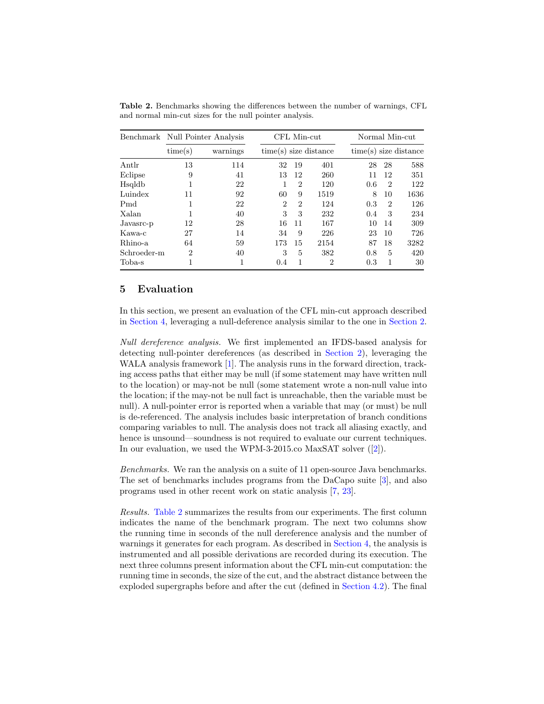|             | Benchmark Null Pointer Analysis |          | CFL Min-cut    |                |                         |     | Normal Min-cut |                         |  |
|-------------|---------------------------------|----------|----------------|----------------|-------------------------|-----|----------------|-------------------------|--|
|             | time(s)                         | warnings |                |                | $time(s)$ size distance |     |                | $time(s)$ size distance |  |
| Antlr       | 13                              | 114      | 32             | 19             | 401                     | 28  | 28             | 588                     |  |
| Eclipse     | 9                               | 41       | 13             | 12             | 260                     | 11  | 12             | 351                     |  |
| Hsqldb      |                                 | 22       | 1              | $\overline{2}$ | 120                     | 0.6 | $\overline{2}$ | 122                     |  |
| Luindex     | 11                              | 92       | 60             | 9              | 1519                    | 8   | 10             | 1636                    |  |
| Pmd         |                                 | 22       | $\overline{2}$ | $\overline{2}$ | 124                     | 0.3 | $\overline{2}$ | 126                     |  |
| Xalan       |                                 | 40       | 3              | 3              | 232                     | 0.4 | 3              | 234                     |  |
| Javasrc-p   | 12                              | 28       | 16             | 11             | 167                     | 10  | 14             | 309                     |  |
| Kawa-c      | 27                              | 14       | 34             | 9              | 226                     | 23  | 10             | 726                     |  |
| Rhino-a     | 64                              | 59       | 173            | 15             | 2154                    | 87  | 18             | 3282                    |  |
| Schroeder-m | $\overline{2}$                  | 40       | 3              | 5              | 382                     | 0.8 | 5              | 420                     |  |
| Toba-s      |                                 |          | 0.4            | 1              | $\overline{2}$          | 0.3 | 1              | 30                      |  |

<span id="page-15-1"></span>Table 2. Benchmarks showing the differences between the number of warnings, CFL and normal min-cut sizes for the null pointer analysis.

### <span id="page-15-0"></span>5 Evaluation

In this section, we present an evaluation of the CFL min-cut approach described in [Section 4,](#page-12-0) leveraging a null-deference analysis similar to the one in [Section 2.](#page-3-0)

Null dereference analysis. We first implemented an IFDS-based analysis for detecting null-pointer dereferences (as described in [Section 2\)](#page-3-0), leveraging the WALA analysis framework [\[1\]](#page-19-3). The analysis runs in the forward direction, tracking access paths that either may be null (if some statement may have written null to the location) or may-not be null (some statement wrote a non-null value into the location; if the may-not be null fact is unreachable, then the variable must be null). A null-pointer error is reported when a variable that may (or must) be null is de-referenced. The analysis includes basic interpretation of branch conditions comparing variables to null. The analysis does not track all aliasing exactly, and hence is unsound—soundness is not required to evaluate our current techniques. In our evaluation, we used the WPM-3-2015.co MaxSAT solver ([\[2\]](#page-19-4)).

Benchmarks. We ran the analysis on a suite of 11 open-source Java benchmarks. The set of benchmarks includes programs from the DaCapo suite [\[3\]](#page-19-5), and also programs used in other recent work on static analysis [\[7,](#page-19-0) [23\]](#page-21-2).

Results. [Table 2](#page-15-1) summarizes the results from our experiments. The first column indicates the name of the benchmark program. The next two columns show the running time in seconds of the null dereference analysis and the number of warnings it generates for each program. As described in [Section 4,](#page-12-0) the analysis is instrumented and all possible derivations are recorded during its execution. The next three columns present information about the CFL min-cut computation: the running time in seconds, the size of the cut, and the abstract distance between the exploded supergraphs before and after the cut (defined in [Section 4.2\)](#page-13-0). The final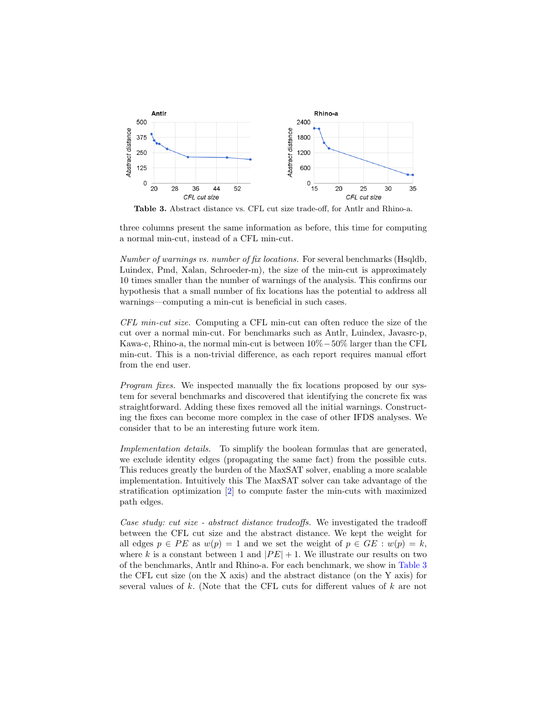

<span id="page-16-0"></span>Table 3. Abstract distance vs. CFL cut size trade-off, for Antlr and Rhino-a.

three columns present the same information as before, this time for computing a normal min-cut, instead of a CFL min-cut.

Number of warnings vs. number of fix locations. For several benchmarks (Hsqldb, Luindex, Pmd, Xalan, Schroeder-m), the size of the min-cut is approximately 10 times smaller than the number of warnings of the analysis. This confirms our hypothesis that a small number of fix locations has the potential to address all warnings—computing a min-cut is beneficial in such cases.

CFL min-cut size. Computing a CFL min-cut can often reduce the size of the cut over a normal min-cut. For benchmarks such as Antlr, Luindex, Javasrc-p, Kawa-c, Rhino-a, the normal min-cut is between 10%−50% larger than the CFL min-cut. This is a non-trivial difference, as each report requires manual effort from the end user.

Program fixes. We inspected manually the fix locations proposed by our system for several benchmarks and discovered that identifying the concrete fix was straightforward. Adding these fixes removed all the initial warnings. Constructing the fixes can become more complex in the case of other IFDS analyses. We consider that to be an interesting future work item.

Implementation details. To simplify the boolean formulas that are generated, we exclude identity edges (propagating the same fact) from the possible cuts. This reduces greatly the burden of the MaxSAT solver, enabling a more scalable implementation. Intuitively this The MaxSAT solver can take advantage of the stratification optimization [\[2\]](#page-19-4) to compute faster the min-cuts with maximized path edges.

Case study: cut size - abstract distance tradeoffs. We investigated the tradeoff between the CFL cut size and the abstract distance. We kept the weight for all edges  $p \in PE$  as  $w(p) = 1$  and we set the weight of  $p \in GE : w(p) = k$ , where k is a constant between 1 and  $|PE| + 1$ . We illustrate our results on two of the benchmarks, Antlr and Rhino-a. For each benchmark, we show in [Table 3](#page-16-0) the CFL cut size (on the X axis) and the abstract distance (on the Y axis) for several values of k. (Note that the CFL cuts for different values of k are not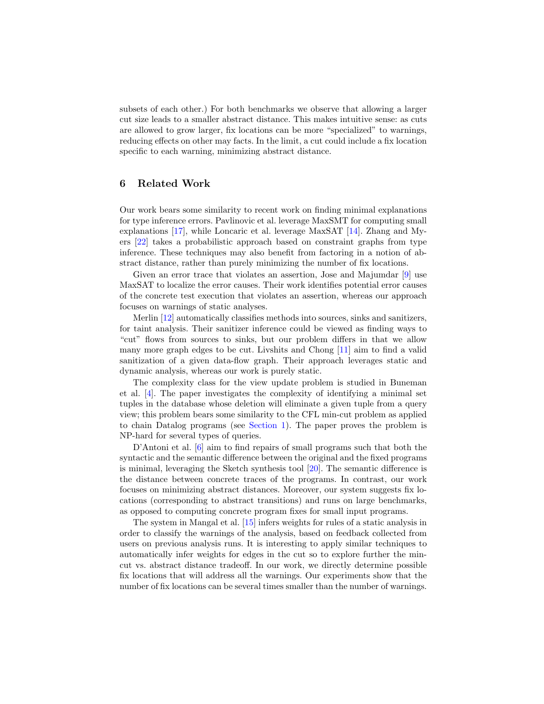subsets of each other.) For both benchmarks we observe that allowing a larger cut size leads to a smaller abstract distance. This makes intuitive sense: as cuts are allowed to grow larger, fix locations can be more "specialized" to warnings, reducing effects on other may facts. In the limit, a cut could include a fix location specific to each warning, minimizing abstract distance.

### 6 Related Work

Our work bears some similarity to recent work on finding minimal explanations for type inference errors. Pavlinovic et al. leverage MaxSMT for computing small explanations [\[17\]](#page-20-1), while Loncaric et al. leverage MaxSAT [\[14\]](#page-20-0). Zhang and Myers [\[22\]](#page-21-0) takes a probabilistic approach based on constraint graphs from type inference. These techniques may also benefit from factoring in a notion of abstract distance, rather than purely minimizing the number of fix locations.

Given an error trace that violates an assertion, Jose and Majumdar [\[9\]](#page-19-6) use MaxSAT to localize the error causes. Their work identifies potential error causes of the concrete test execution that violates an assertion, whereas our approach focuses on warnings of static analyses.

Merlin [\[12\]](#page-20-6) automatically classifies methods into sources, sinks and sanitizers, for taint analysis. Their sanitizer inference could be viewed as finding ways to "cut" flows from sources to sinks, but our problem differs in that we allow many more graph edges to be cut. Livshits and Chong [\[11\]](#page-20-7) aim to find a valid sanitization of a given data-flow graph. Their approach leverages static and dynamic analysis, whereas our work is purely static.

The complexity class for the view update problem is studied in Buneman et al. [\[4\]](#page-19-7). The paper investigates the complexity of identifying a minimal set tuples in the database whose deletion will eliminate a given tuple from a query view; this problem bears some similarity to the CFL min-cut problem as applied to chain Datalog programs (see [Section 1\)](#page-0-0). The paper proves the problem is NP-hard for several types of queries.

D'Antoni et al. [\[6\]](#page-19-1) aim to find repairs of small programs such that both the syntactic and the semantic difference between the original and the fixed programs is minimal, leveraging the Sketch synthesis tool [\[20\]](#page-20-8). The semantic difference is the distance between concrete traces of the programs. In contrast, our work focuses on minimizing abstract distances. Moreover, our system suggests fix locations (corresponding to abstract transitions) and runs on large benchmarks, as opposed to computing concrete program fixes for small input programs.

The system in Mangal et al. [\[15\]](#page-20-9) infers weights for rules of a static analysis in order to classify the warnings of the analysis, based on feedback collected from users on previous analysis runs. It is interesting to apply similar techniques to automatically infer weights for edges in the cut so to explore further the mincut vs. abstract distance tradeoff. In our work, we directly determine possible fix locations that will address all the warnings. Our experiments show that the number of fix locations can be several times smaller than the number of warnings.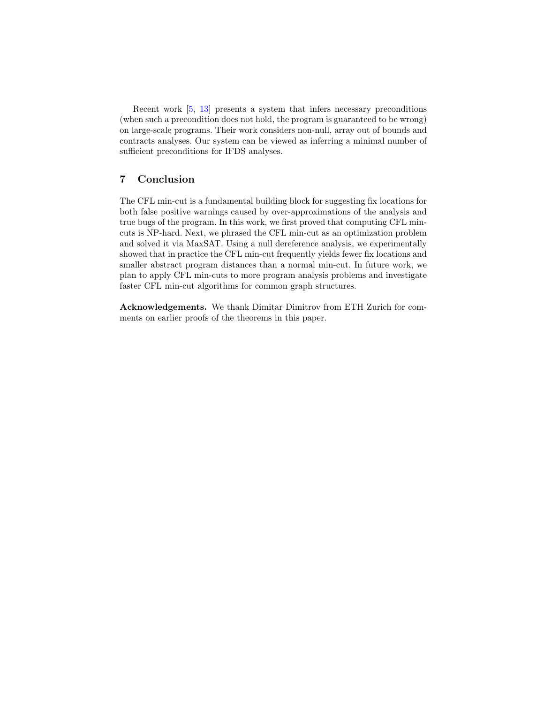Recent work  $[5, 13]$  $[5, 13]$  $[5, 13]$  presents a system that infers necessary preconditions (when such a precondition does not hold, the program is guaranteed to be wrong) on large-scale programs. Their work considers non-null, array out of bounds and contracts analyses. Our system can be viewed as inferring a minimal number of sufficient preconditions for IFDS analyses.

### 7 Conclusion

The CFL min-cut is a fundamental building block for suggesting fix locations for both false positive warnings caused by over-approximations of the analysis and true bugs of the program. In this work, we first proved that computing CFL mincuts is NP-hard. Next, we phrased the CFL min-cut as an optimization problem and solved it via MaxSAT. Using a null dereference analysis, we experimentally showed that in practice the CFL min-cut frequently yields fewer fix locations and smaller abstract program distances than a normal min-cut. In future work, we plan to apply CFL min-cuts to more program analysis problems and investigate faster CFL min-cut algorithms for common graph structures.

Acknowledgements. We thank Dimitar Dimitrov from ETH Zurich for comments on earlier proofs of the theorems in this paper.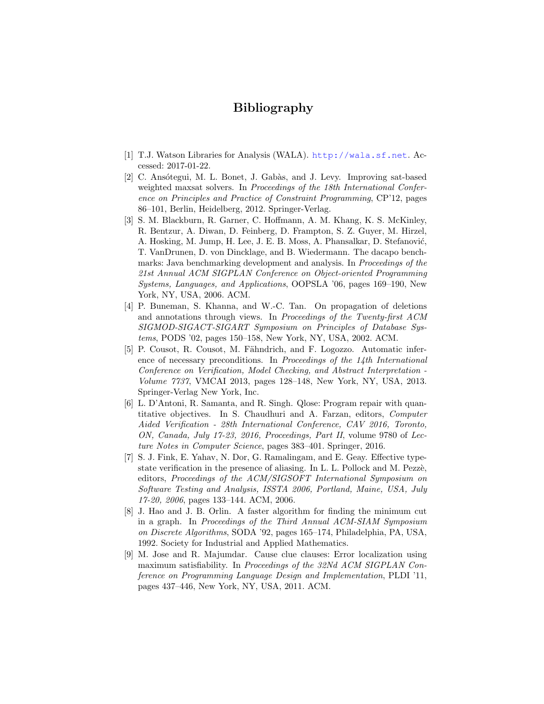## Bibliography

- <span id="page-19-3"></span>[1] T.J. Watson Libraries for Analysis (WALA). <http://wala.sf.net>. Accessed: 2017-01-22.
- <span id="page-19-4"></span>[2] C. Ansótegui, M. L. Bonet, J. Gabàs, and J. Levy. Improving sat-based weighted maxsat solvers. In *Proceedings of the 18th International Confer*ence on Principles and Practice of Constraint Programming, CP'12, pages 86–101, Berlin, Heidelberg, 2012. Springer-Verlag.
- <span id="page-19-5"></span>[3] S. M. Blackburn, R. Garner, C. Hoffmann, A. M. Khang, K. S. McKinley, R. Bentzur, A. Diwan, D. Feinberg, D. Frampton, S. Z. Guyer, M. Hirzel, A. Hosking, M. Jump, H. Lee, J. E. B. Moss, A. Phansalkar, D. Stefanović, T. VanDrunen, D. von Dincklage, and B. Wiedermann. The dacapo benchmarks: Java benchmarking development and analysis. In Proceedings of the 21st Annual ACM SIGPLAN Conference on Object-oriented Programming Systems, Languages, and Applications, OOPSLA '06, pages 169–190, New York, NY, USA, 2006. ACM.
- <span id="page-19-7"></span>[4] P. Buneman, S. Khanna, and W.-C. Tan. On propagation of deletions and annotations through views. In Proceedings of the Twenty-first ACM SIGMOD-SIGACT-SIGART Symposium on Principles of Database Systems, PODS '02, pages 150–158, New York, NY, USA, 2002. ACM.
- <span id="page-19-8"></span>[5] P. Cousot, R. Cousot, M. Fähndrich, and F. Logozzo. Automatic inference of necessary preconditions. In Proceedings of the 14th International Conference on Verification, Model Checking, and Abstract Interpretation - Volume 7737, VMCAI 2013, pages 128–148, New York, NY, USA, 2013. Springer-Verlag New York, Inc.
- <span id="page-19-1"></span>[6] L. D'Antoni, R. Samanta, and R. Singh. Qlose: Program repair with quantitative objectives. In S. Chaudhuri and A. Farzan, editors, Computer Aided Verification - 28th International Conference, CAV 2016, Toronto, ON, Canada, July 17-23, 2016, Proceedings, Part II, volume 9780 of Lecture Notes in Computer Science, pages 383–401. Springer, 2016.
- <span id="page-19-0"></span>[7] S. J. Fink, E. Yahav, N. Dor, G. Ramalingam, and E. Geay. Effective typestate verification in the presence of aliasing. In L. L. Pollock and M. Pezzè, editors, Proceedings of the ACM/SIGSOFT International Symposium on Software Testing and Analysis, ISSTA 2006, Portland, Maine, USA, July 17-20, 2006, pages 133–144. ACM, 2006.
- <span id="page-19-2"></span>[8] J. Hao and J. B. Orlin. A faster algorithm for finding the minimum cut in a graph. In Proceedings of the Third Annual ACM-SIAM Symposium on Discrete Algorithms, SODA '92, pages 165–174, Philadelphia, PA, USA, 1992. Society for Industrial and Applied Mathematics.
- <span id="page-19-6"></span>[9] M. Jose and R. Majumdar. Cause clue clauses: Error localization using maximum satisfiability. In Proceedings of the 32Nd ACM SIGPLAN Conference on Programming Language Design and Implementation, PLDI '11, pages 437–446, New York, NY, USA, 2011. ACM.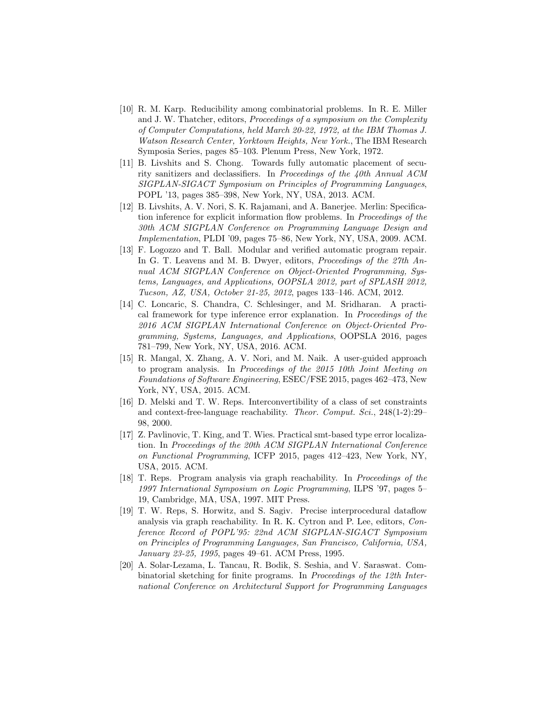- <span id="page-20-5"></span>[10] R. M. Karp. Reducibility among combinatorial problems. In R. E. Miller and J. W. Thatcher, editors, *Proceedings of a symposium on the Complexity* of Computer Computations, held March 20-22, 1972, at the IBM Thomas J. Watson Research Center, Yorktown Heights, New York., The IBM Research Symposia Series, pages 85–103. Plenum Press, New York, 1972.
- <span id="page-20-7"></span>[11] B. Livshits and S. Chong. Towards fully automatic placement of security sanitizers and declassifiers. In Proceedings of the 40th Annual ACM SIGPLAN-SIGACT Symposium on Principles of Programming Languages, POPL '13, pages 385–398, New York, NY, USA, 2013. ACM.
- <span id="page-20-6"></span>[12] B. Livshits, A. V. Nori, S. K. Rajamani, and A. Banerjee. Merlin: Specification inference for explicit information flow problems. In Proceedings of the 30th ACM SIGPLAN Conference on Programming Language Design and Implementation, PLDI '09, pages 75–86, New York, NY, USA, 2009. ACM.
- <span id="page-20-10"></span>[13] F. Logozzo and T. Ball. Modular and verified automatic program repair. In G. T. Leavens and M. B. Dwyer, editors, *Proceedings of the 27th An*nual ACM SIGPLAN Conference on Object-Oriented Programming, Systems, Languages, and Applications, OOPSLA 2012, part of SPLASH 2012, Tucson, AZ, USA, October 21-25, 2012, pages 133–146. ACM, 2012.
- <span id="page-20-0"></span>[14] C. Loncaric, S. Chandra, C. Schlesinger, and M. Sridharan. A practical framework for type inference error explanation. In Proceedings of the 2016 ACM SIGPLAN International Conference on Object-Oriented Programming, Systems, Languages, and Applications, OOPSLA 2016, pages 781–799, New York, NY, USA, 2016. ACM.
- <span id="page-20-9"></span>[15] R. Mangal, X. Zhang, A. V. Nori, and M. Naik. A user-guided approach to program analysis. In Proceedings of the 2015 10th Joint Meeting on Foundations of Software Engineering, ESEC/FSE 2015, pages 462–473, New York, NY, USA, 2015. ACM.
- <span id="page-20-4"></span>[16] D. Melski and T. W. Reps. Interconvertibility of a class of set constraints and context-free-language reachability. Theor. Comput. Sci., 248(1-2):29– 98, 2000.
- <span id="page-20-1"></span>[17] Z. Pavlinovic, T. King, and T. Wies. Practical smt-based type error localization. In Proceedings of the 20th ACM SIGPLAN International Conference on Functional Programming, ICFP 2015, pages 412–423, New York, NY, USA, 2015. ACM.
- <span id="page-20-2"></span>[18] T. Reps. Program analysis via graph reachability. In Proceedings of the 1997 International Symposium on Logic Programming, ILPS '97, pages 5– 19, Cambridge, MA, USA, 1997. MIT Press.
- <span id="page-20-3"></span>[19] T. W. Reps, S. Horwitz, and S. Sagiv. Precise interprocedural dataflow analysis via graph reachability. In R. K. Cytron and P. Lee, editors, Conference Record of POPL'95: 22nd ACM SIGPLAN-SIGACT Symposium on Principles of Programming Languages, San Francisco, California, USA, January 23-25, 1995, pages 49–61. ACM Press, 1995.
- <span id="page-20-8"></span>[20] A. Solar-Lezama, L. Tancau, R. Bodik, S. Seshia, and V. Saraswat. Combinatorial sketching for finite programs. In Proceedings of the 12th International Conference on Architectural Support for Programming Languages